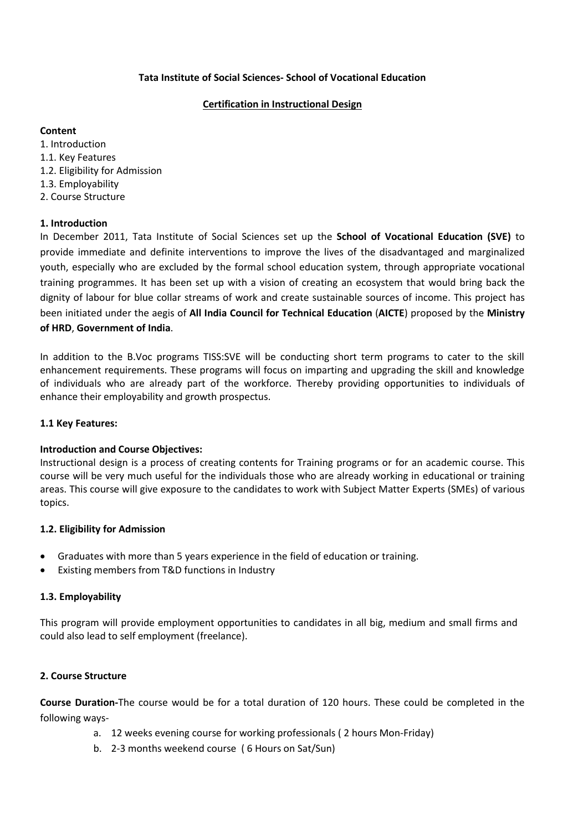## **Tata Institute of Social Sciences- School of Vocational Education**

#### **Certification in Instructional Design**

### **Content**

1. Introduction 1.1. Key Features 1.2. Eligibility for Admission 1.3. Employability 2. Course Structure

# **1. Introduction**

In December 2011, Tata Institute of Social Sciences set up the **School of Vocational Education (SVE)** to provide immediate and definite interventions to improve the lives of the disadvantaged and marginalized youth, especially who are excluded by the formal school education system, through appropriate vocational training programmes. It has been set up with a vision of creating an ecosystem that would bring back the dignity of labour for blue collar streams of work and create sustainable sources of income. This project has been initiated under the aegis of **All India Council for Technical Education** (**AICTE**) proposed by the **Ministry of HRD**, **Government of India**.

In addition to the B.Voc programs TISS:SVE will be conducting short term programs to cater to the skill enhancement requirements. These programs will focus on imparting and upgrading the skill and knowledge of individuals who are already part of the workforce. Thereby providing opportunities to individuals of enhance their employability and growth prospectus.

#### **1.1 Key Features:**

#### **Introduction and Course Objectives:**

Instructional design is a process of creating contents for Training programs or for an academic course. This course will be very much useful for the individuals those who are already working in educational or training areas. This course will give exposure to the candidates to work with Subject Matter Experts (SMEs) of various topics.

# **1.2. Eligibility for Admission**

- Graduates with more than 5 years experience in the field of education or training.
- Existing members from T&D functions in Industry

#### **1.3. Employability**

This program will provide employment opportunities to candidates in all big, medium and small firms and could also lead to self employment (freelance).

# **2. Course Structure**

**Course Duration-**The course would be for a total duration of 120 hours. These could be completed in the following ways-

- a. 12 weeks evening course for working professionals ( 2 hours Mon-Friday)
- b. 2-3 months weekend course ( 6 Hours on Sat/Sun)